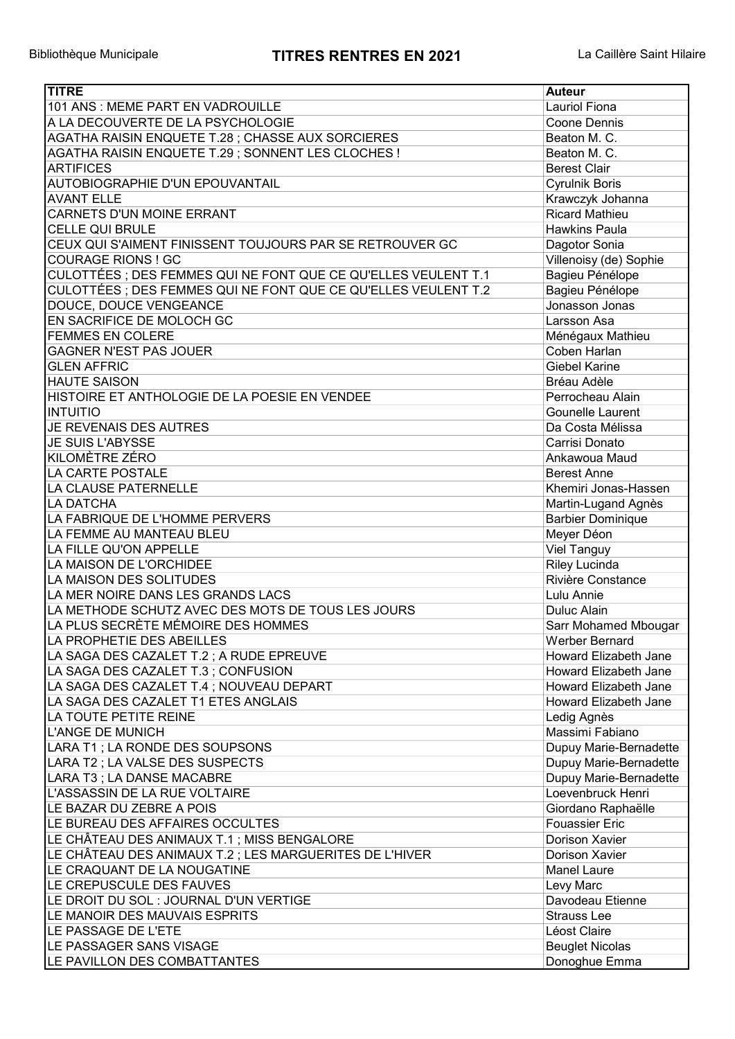| <b>TITRE</b>                                                   | <b>Auteur</b>                  |
|----------------------------------------------------------------|--------------------------------|
| 101 ANS: MEME PART EN VADROUILLE                               | <b>Lauriol Fiona</b>           |
| A LA DECOUVERTE DE LA PSYCHOLOGIE                              | Coone Dennis                   |
| AGATHA RAISIN ENQUETE T.28 ; CHASSE AUX SORCIERES              | Beaton M. C.                   |
| AGATHA RAISIN ENQUETE T.29 ; SONNENT LES CLOCHES !             | Beaton M. C.                   |
| <b>ARTIFICES</b>                                               | <b>Berest Clair</b>            |
| AUTOBIOGRAPHIE D'UN EPOUVANTAIL                                | <b>Cyrulnik Boris</b>          |
| <b>AVANT ELLE</b>                                              | Krawczyk Johanna               |
| CARNETS D'UN MOINE ERRANT                                      | <b>Ricard Mathieu</b>          |
| <b>CELLE QUI BRULE</b>                                         | <b>Hawkins Paula</b>           |
| CEUX QUI S'AIMENT FINISSENT TOUJOURS PAR SE RETROUVER GC       | Dagotor Sonia                  |
| <b>COURAGE RIONS ! GC</b>                                      | Villenoisy (de) Sophie         |
| CULOTTÉES ; DES FEMMES QUI NE FONT QUE CE QU'ELLES VEULENT T.1 | Bagieu Pénélope                |
| CULOTTÉES ; DES FEMMES QUI NE FONT QUE CE QU'ELLES VEULENT T.2 |                                |
|                                                                | Bagieu Pénélope                |
| DOUCE, DOUCE VENGEANCE                                         | Jonasson Jonas                 |
| EN SACRIFICE DE MOLOCH GC                                      | Larsson Asa                    |
| <b>FEMMES EN COLERE</b>                                        | Ménégaux Mathieu               |
| <b>GAGNER N'EST PAS JOUER</b>                                  | Coben Harlan                   |
| <b>GLEN AFFRIC</b>                                             | <b>Giebel Karine</b>           |
| <b>HAUTE SAISON</b>                                            | Bréau Adèle                    |
| HISTOIRE ET ANTHOLOGIE DE LA POESIE EN VENDEE                  | Perrocheau Alain               |
| <b>INTUITIO</b>                                                | Gounelle Laurent               |
| JE REVENAIS DES AUTRES                                         | Da Costa Mélissa               |
| <b>JE SUIS L'ABYSSE</b>                                        | Carrisi Donato                 |
| <b>KILOMÈTRE ZÉRO</b>                                          | Ankawoua Maud                  |
| LA CARTE POSTALE                                               | <b>Berest Anne</b>             |
| LA CLAUSE PATERNELLE                                           | Khemiri Jonas-Hassen           |
| <b>LA DATCHA</b>                                               | Martin-Lugand Agnès            |
| LA FABRIQUE DE L'HOMME PERVERS                                 | <b>Barbier Dominique</b>       |
| LA FEMME AU MANTEAU BLEU                                       | Meyer Déon                     |
| LA FILLE QU'ON APPELLE                                         | <b>Viel Tanguy</b>             |
| LA MAISON DE L'ORCHIDEE                                        | <b>Riley Lucinda</b>           |
| LA MAISON DES SOLITUDES                                        | Rivière Constance              |
| LA MER NOIRE DANS LES GRANDS LACS                              | Lulu Annie                     |
| LA METHODE SCHUTZ AVEC DES MOTS DE TOUS LES JOURS              | Duluc Alain                    |
| LA PLUS SECRÈTE MÉMOIRE DES HOMMES                             | Sarr Mohamed Mbougar           |
| LA PROPHETIE DES ABEILLES                                      | Werber Bernard                 |
| LA SAGA DES CAZALET T.2 ; A RUDE EPREUVE                       | Howard Elizabeth Jane          |
| LA SAGA DES CAZALET T.3 ; CONFUSION                            | Howard Elizabeth Jane          |
| LA SAGA DES CAZALET T.4 ; NOUVEAU DEPART                       | Howard Elizabeth Jane          |
| LA SAGA DES CAZALET T1 ETES ANGLAIS                            | Howard Elizabeth Jane          |
| LA TOUTE PETITE REINE                                          |                                |
| <b>L'ANGE DE MUNICH</b>                                        | Ledig Agnès<br>Massimi Fabiano |
|                                                                |                                |
| LARA T1; LA RONDE DES SOUPSONS                                 | Dupuy Marie-Bernadette         |
| LARA T2 ; LA VALSE DES SUSPECTS                                | Dupuy Marie-Bernadette         |
| LARA T3 ; LA DANSE MACABRE                                     | Dupuy Marie-Bernadette         |
| L'ASSASSIN DE LA RUE VOLTAIRE                                  | Loevenbruck Henri              |
| LE BAZAR DU ZEBRE A POIS                                       | Giordano Raphaëlle             |
| LE BUREAU DES AFFAIRES OCCULTES                                | <b>Fouassier Eric</b>          |
| LE CHÂTEAU DES ANIMAUX T.1 ; MISS BENGALORE                    | Dorison Xavier                 |
| LE CHÂTEAU DES ANIMAUX T.2 ; LES MARGUERITES DE L'HIVER        | Dorison Xavier                 |
| LE CRAQUANT DE LA NOUGATINE                                    | <b>Manel Laure</b>             |
| LE CREPUSCULE DES FAUVES                                       | Levy Marc                      |
| LE DROIT DU SOL : JOURNAL D'UN VERTIGE                         | Davodeau Etienne               |
| LE MANOIR DES MAUVAIS ESPRITS                                  | <b>Strauss Lee</b>             |
| LE PASSAGE DE L'ETE                                            | Léost Claire                   |
| LE PASSAGER SANS VISAGE                                        | <b>Beuglet Nicolas</b>         |
| LE PAVILLON DES COMBATTANTES                                   | Donoghue Emma                  |